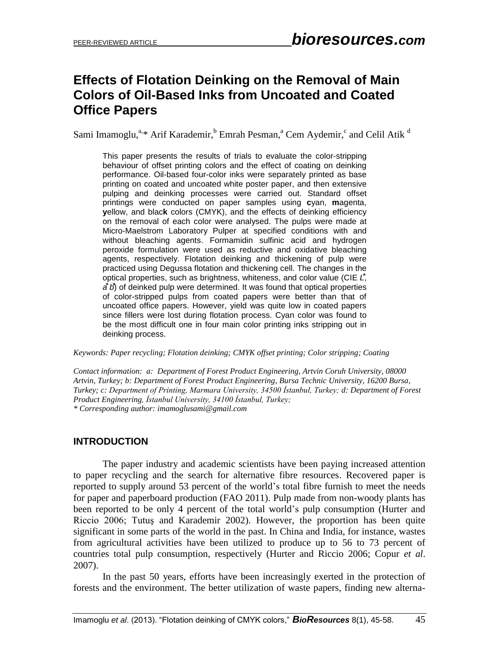# **Effects of Flotation Deinking on the Removal of Main Colors of Oil-Based Inks from Uncoated and Coated Office Papers**

Sami Imamoglu,<sup>a,\*</sup> Arif Karademir, <sup>b</sup> Emrah Pesman,<sup>a</sup> Cem Aydemir,<sup>c</sup> and Celil Atik <sup>d</sup>

This paper presents the results of trials to evaluate the color-stripping behaviour of offset printing colors and the effect of coating on deinking performance. Oil-based four-color inks were separately printed as base printing on coated and uncoated white poster paper, and then extensive pulping and deinking processes were carried out. Standard offset printings were conducted on paper samples using **c**yan, **m**agenta, **y**ellow, and blac**k** colors (CMYK), and the effects of deinking efficiency on the removal of each color were analysed. The pulps were made at Micro-Maelstrom Laboratory Pulper at specified conditions with and without bleaching agents. Formamidin sulfinic acid and hydrogen peroxide formulation were used as reductive and oxidative bleaching agents, respectively. Flotation deinking and thickening of pulp were practiced using Degussa flotation and thickening cell. The changes in the optical properties, such as brightness, whiteness, and color value (CIE L<sup>\*</sup>, *a*<sup> $\dot{b}$ </sup>) of deinked pulp were determined. It was found that optical properties of color-stripped pulps from coated papers were better than that of uncoated office papers. However, yield was quite low in coated papers since fillers were lost during flotation process. Cyan color was found to be the most difficult one in four main color printing inks stripping out in deinking process.

*Keywords: Paper recycling; Flotation deinking; CMYK offset printing; Color stripping; Coating*

*Contact information: a: Department of Forest Product Engineering, Artvin Coruh University, 08000 Artvin, Turkey; b: Department of Forest Product Engineering, Bursa Technic University, 16200 Bursa, Turkey; c: Department of Printing, Marmara University, 34500 İstanbul, Turkey; d: Department of Forest Product Engineering, İstanbul University, 34100 İstanbul, Turkey; \* Corresponding author: [imamoglusami@gmail.com](mailto:imamoglusami@gmail.com)*

#### **INTRODUCTION**

The paper industry and academic scientists have been paying increased attention to paper recycling and the search for alternative fibre resources. Recovered paper is reported to supply around 53 percent of the world's total fibre furnish to meet the needs for paper and paperboard production (FAO 2011). Pulp made from non-woody plants has been reported to be only 4 percent of the total world's pulp consumption (Hurter and Riccio 2006; Tutuş and Karademir 2002). However, the proportion has been quite significant in some parts of the world in the past. In China and India, for instance, wastes from agricultural activities have been utilized to produce up to 56 to 73 percent of countries total pulp consumption, respectively (Hurter and Riccio 2006; Copur *et al*. 2007).

In the past 50 years, efforts have been increasingly exerted in the protection of forests and the environment. The better utilization of waste papers, finding new alterna-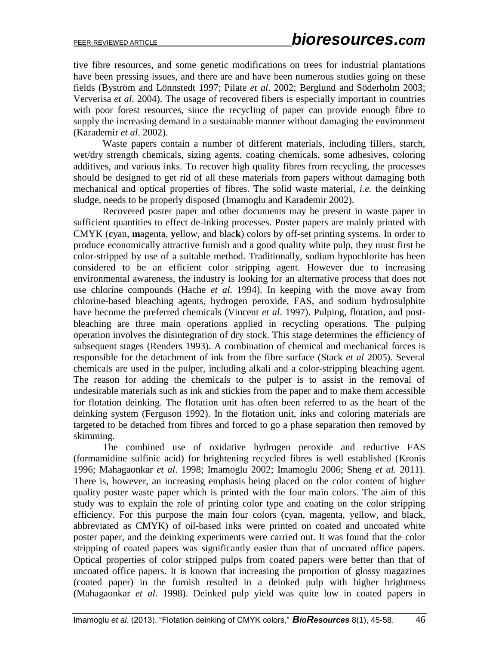tive fibre resources, and some genetic modifications on trees for industrial plantations have been pressing issues, and there are and have been numerous studies going on these fields (Byström and Lönnstedt 1997; Pilate *et al*. 2002; Berglund and Söderholm 2003; [Ververisa](http://www.sciencedirect.com/science/article/pii/S0926669003001171) *et al*. 2004). The usage of recovered fibers is especially important in countries with poor forest resources, since the recycling of paper can provide enough fibre to supply the increasing demand in a sustainable manner without damaging the environment (Karademir *et al*. 2002).

Waste papers contain a number of different materials, including fillers, starch, wet/dry strength chemicals, sizing agents, coating chemicals, some adhesives, coloring additives, and various inks. To recover high quality fibres from recycling, the processes should be designed to get rid of all these materials from papers without damaging both mechanical and optical properties of fibres. The solid waste material, *i.e.* the deinking sludge, needs to be properly disposed (Imamoglu and Karademir 2002).

Recovered poster paper and other documents may be present in waste paper in sufficient quantities to effect de-inking processes. Poster papers are mainly printed with CMYK (**c**yan, **m**agenta, **y**ellow, and blac**k**) colors by off-set printing systems. In order to produce economically attractive furnish and a good quality white pulp, they must first be color-stripped by use of a suitable method. Traditionally, sodium hypochlorite has been considered to be an efficient color stripping agent. However due to increasing environmental awareness, the industry is looking for an alternative process that does not use chlorine compounds (Hache *et al*. 1994). In keeping with the move away from chlorine-based bleaching agents, hydrogen peroxide, FAS, and sodium hydrosulphite have become the preferred chemicals (Vincent *et al*. 1997). Pulping, flotation, and postbleaching are three main operations applied in recycling operations. The pulping operation involves the disintegration of dry stock. This stage determines the efficiency of subsequent stages (Renders 1993). A combination of chemical and mechanical forces is responsible for the detachment of ink from the fibre surface (Stack *et al* 2005). Several chemicals are used in the pulper, including alkali and a color-stripping bleaching agent. The reason for adding the chemicals to the pulper is to assist in the removal of undesirable materials such as ink and stickies from the paper and to make them accessible for flotation deinking. The flotation unit has often been referred to as the heart of the deinking system (Ferguson 1992). In the flotation unit, inks and coloring materials are targeted to be detached from fibres and forced to go a phase separation then removed by skimming.

The combined use of oxidative hydrogen peroxide and reductive FAS (formamidine sulfinic acid) for brightening recycled fibres is well established (Kronis 1996; Mahagaonkar *et al*. 1998; Imamoglu 2002; Imamoglu 2006; Sheng *et al.* 2011). There is, however, an increasing emphasis being placed on the color content of higher quality poster waste paper which is printed with the four main colors. The aim of this study was to explain the role of printing color type and coating on the color stripping efficiency. For this purpose the main four colors (cyan, magenta, yellow, and black, abbreviated as CMYK) of oil-based inks were printed on coated and uncoated white poster paper, and the deinking experiments were carried out. It was found that the color stripping of coated papers was significantly easier than that of uncoated office papers. Optical properties of color stripped pulps from coated papers were better than that of uncoated office papers. It is known that increasing the proportion of glossy magazines (coated paper) in the furnish resulted in a deinked pulp with higher brightness (Mahagaonkar *et al*. 1998). Deinked pulp yield was quite low in coated papers in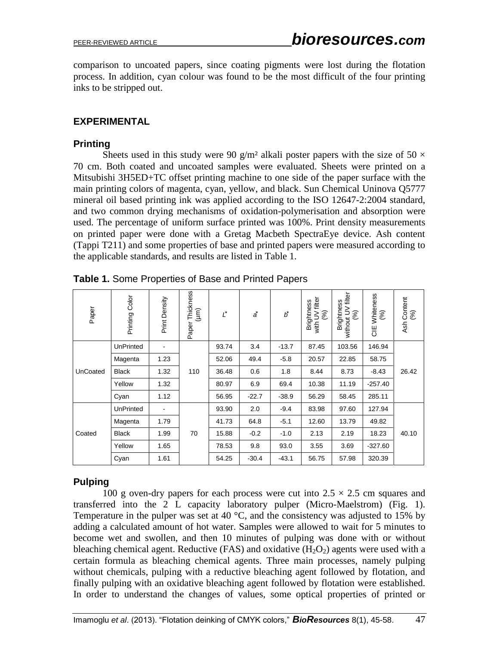comparison to uncoated papers, since coating pigments were lost during the flotation process. In addition, cyan colour was found to be the most difficult of the four printing inks to be stripped out.

### **EXPERIMENTAL**

### **Printing**

Sheets used in this study were 90 g/m<sup>2</sup> alkali poster papers with the size of 50  $\times$ 70 cm. Both coated and uncoated samples were evaluated. Sheets were printed on a Mitsubishi 3H5ED+TC offset printing machine to one side of the paper surface with the main printing colors of magenta, cyan, yellow, and black. Sun Chemical Uninova Q5777 mineral oil based printing ink was applied according to the ISO 12647-2:2004 standard, and two common drying mechanisms of oxidation-polymerisation and absorption were used. The percentage of uniform surface printed was 100%. Print density measurements on printed paper were done with a Gretag Macbeth SpectraEye device. Ash content (Tappi T211) and some properties of base and printed papers were measured according to the applicable standards, and results are listed in Table 1.

| Paper    | Printing Color   | Print Density | Paper Thickness<br>$(\mu m)$ | $\underline{\iota}^*$ | ă       | $\vec{b}$ | with UV filter<br>$(96)$<br><b>Brightness</b> | without UV filter<br>Brightness<br>$($ %) | Whiteness<br>(%)<br>UE | Content<br>(%)<br>Ash |
|----------|------------------|---------------|------------------------------|-----------------------|---------|-----------|-----------------------------------------------|-------------------------------------------|------------------------|-----------------------|
| UnCoated | <b>UnPrinted</b> |               | 110                          | 93.74                 | 3.4     | $-13.7$   | 87.45                                         | 103.56                                    | 146.94                 | 26.42                 |
|          | Magenta          | 1.23          |                              | 52.06                 | 49.4    | $-5.8$    | 20.57                                         | 22.85                                     | 58.75                  |                       |
|          | <b>Black</b>     | 1.32          |                              | 36.48                 | 0.6     | 1.8       | 8.44                                          | 8.73                                      | $-8.43$                |                       |
|          | Yellow           | 1.32          |                              | 80.97                 | 6.9     | 69.4      | 10.38                                         | 11.19                                     | $-257.40$              |                       |
|          | Cyan             | 1.12          |                              | 56.95                 | $-22.7$ | $-38.9$   | 56.29                                         | 58.45                                     | 285.11                 |                       |
| Coated   | <b>UnPrinted</b> |               | 70                           | 93.90                 | 2.0     | $-9.4$    | 83.98                                         | 97.60                                     | 127.94                 | 40.10                 |
|          | Magenta          | 1.79          |                              | 41.73                 | 64.8    | $-5.1$    | 12.60                                         | 13.79                                     | 49.82                  |                       |
|          | <b>Black</b>     | 1.99          |                              | 15.88                 | $-0.2$  | $-1.0$    | 2.13                                          | 2.19                                      | 18.23                  |                       |
|          | Yellow           | 1.65          |                              | 78.53                 | 9.8     | 93.0      | 3.55                                          | 3.69                                      | $-327.60$              |                       |
|          | Cyan             | 1.61          |                              | 54.25                 | $-30.4$ | $-43.1$   | 56.75                                         | 57.98                                     | 320.39                 |                       |

**Table 1.** Some Properties of Base and Printed Papers

## **Pulping**

100 g oven-dry papers for each process were cut into  $2.5 \times 2.5$  cm squares and transferred into the 2 L capacity laboratory pulper (Micro-Maelstrom) (Fig. 1). Temperature in the pulper was set at 40  $^{\circ}$ C, and the consistency was adjusted to 15% by adding a calculated amount of hot water. Samples were allowed to wait for 5 minutes to become wet and swollen, and then 10 minutes of pulping was done with or without bleaching chemical agent. Reductive (FAS) and oxidative  $(H_2O_2)$  agents were used with a certain formula as bleaching chemical agents. Three main processes, namely pulping without chemicals, pulping with a reductive bleaching agent followed by flotation, and finally pulping with an oxidative bleaching agent followed by flotation were established. In order to understand the changes of values, some optical properties of printed or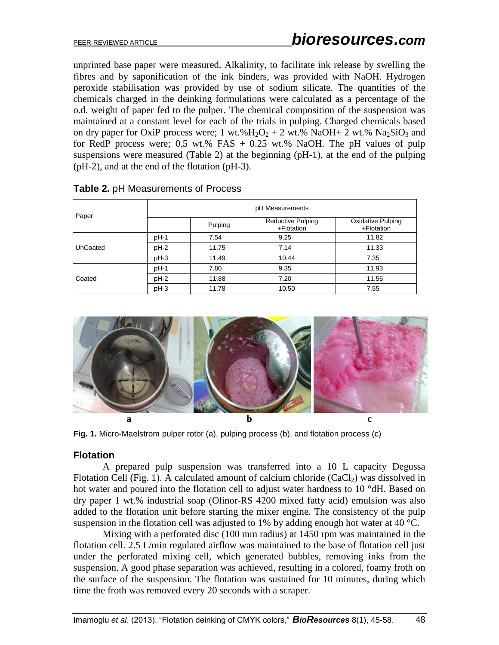unprinted base paper were measured. Alkalinity, to facilitate ink release by swelling the fibres and by saponification of the ink binders, was provided with NaOH. Hydrogen peroxide stabilisation was provided by use of sodium silicate. The quantities of the chemicals charged in the deinking formulations were calculated as a percentage of the o.d. weight of paper fed to the pulper. The chemical composition of the suspension was maintained at a constant level for each of the trials in pulping. Charged chemicals based on dry paper for OxiP process were; 1 wt.% $H_2O_2 + 2$  wt.% NaOH + 2 wt.% Na<sub>2</sub>SiO<sub>3</sub> and for RedP process were; 0.5 wt.% FAS  $+$  0.25 wt.% NaOH. The pH values of pulp suspensions were measured (Table 2) at the beginning (pH-1), at the end of the pulping (pH-2), and at the end of the flotation (pH-3).

|          | pH Measurements |       |                                        |                                        |  |  |  |
|----------|-----------------|-------|----------------------------------------|----------------------------------------|--|--|--|
| Paper    | Pulping         |       | <b>Reductive Pulping</b><br>+Flotation | <b>Oxidative Pulping</b><br>+Flotation |  |  |  |
|          | pH-1            | 7.54  | 9.25                                   | 11.82                                  |  |  |  |
| UnCoated | $pH-2$          | 11.75 | 7.14                                   | 11.33                                  |  |  |  |
|          | $pH-3$          | 11.49 | 10.44                                  | 7.35                                   |  |  |  |
|          | pH-1            | 7.80  | 9.35                                   | 11.93                                  |  |  |  |
| Coated   | $pH-2$          | 11.88 | 7.20                                   | 11.55                                  |  |  |  |
|          | $pH-3$          | 11.78 | 10.50                                  | 7.55                                   |  |  |  |

**Table 2.** pH Measurements of Process



**Fig. 1.** Micro-Maelstrom pulper rotor (a), pulping process (b), and flotation process (c)

#### **Flotation**

A prepared pulp suspension was transferred into a 10 L capacity Degussa Flotation Cell (Fig. 1). A calculated amount of calcium chloride  $(CaCl<sub>2</sub>)$  was dissolved in hot water and poured into the flotation cell to adjust water hardness to 10 °dH. Based on dry paper 1 wt.% industrial soap (Olinor-RS 4200 mixed fatty acid) emulsion was also added to the flotation unit before starting the mixer engine. The consistency of the pulp suspension in the flotation cell was adjusted to 1% by adding enough hot water at 40  $^{\circ}$ C.

Mixing with a perforated disc (100 mm radius) at 1450 rpm was maintained in the flotation cell. 2.5 L/min regulated airflow was maintained to the base of flotation cell just under the perforated mixing cell, which generated bubbles, removing inks from the suspension. A good phase separation was achieved, resulting in a colored, foamy froth on the surface of the suspension. The flotation was sustained for 10 minutes, during which time the froth was removed every 20 seconds with a scraper.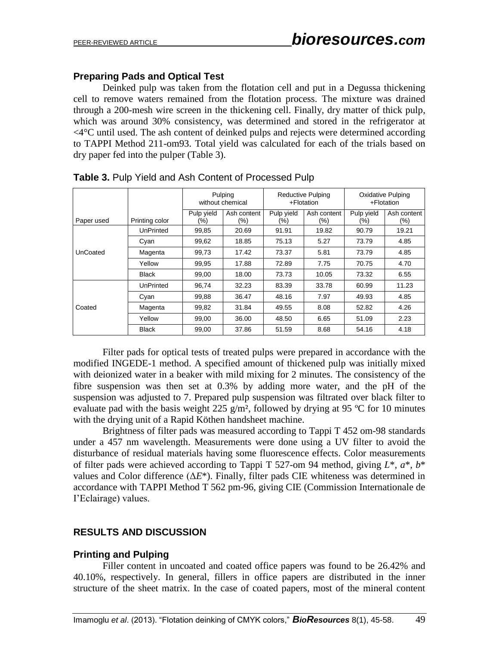## **Preparing Pads and Optical Test**

Deinked pulp was taken from the flotation cell and put in a Degussa thickening cell to remove waters remained from the flotation process. The mixture was drained through a 200-mesh wire screen in the thickening cell. Finally, dry matter of thick pulp, which was around 30% consistency, was determined and stored in the refrigerator at <4°C until used. The ash content of deinked pulps and rejects were determined according to TAPPI Method 211-om93. Total yield was calculated for each of the trials based on dry paper fed into the pulper (Table 3).

|            |                | Pulping<br>without chemical |                    | Reductive Pulping<br>+Flotation |                    | <b>Oxidative Pulping</b><br>+Flotation |                    |
|------------|----------------|-----------------------------|--------------------|---------------------------------|--------------------|----------------------------------------|--------------------|
| Paper used | Printing color | Pulp yield<br>(%)           | Ash content<br>(%) | Pulp yield<br>$(\%)$            | Ash content<br>(%) | Pulp yield<br>(%)                      | Ash content<br>(%) |
|            | UnPrinted      | 99,85                       | 20.69              | 91.91                           | 19.82              | 90.79                                  | 19.21              |
|            | Cyan           | 99,62                       | 18.85              | 75.13                           | 5.27               | 73.79                                  | 4.85               |
| UnCoated   | Magenta        | 99.73                       | 17.42              | 73.37                           | 5.81               | 73.79                                  | 4.85               |
|            | Yellow         | 99,95                       | 17.88              | 72.89                           | 7.75               | 70.75                                  | 4.70               |
|            | <b>Black</b>   | 99,00                       | 18.00              | 73.73                           | 10.05              | 73.32                                  | 6.55               |
|            | UnPrinted      | 96,74                       | 32.23              | 83.39                           | 33.78              | 60.99                                  | 11.23              |
|            | Cyan           | 99,88                       | 36.47              | 48.16                           | 7.97               | 49.93                                  | 4.85               |
| Coated     | Magenta        | 99,82                       | 31.84              | 49.55                           | 8.08               | 52.82                                  | 4.26               |
|            | Yellow         | 99,00                       | 36.00              | 48.50                           | 6.65               | 51.09                                  | 2.23               |
|            | <b>Black</b>   | 99,00                       | 37.86              | 51.59                           | 8.68               | 54.16                                  | 4.18               |

**Table 3.** Pulp Yield and Ash Content of Processed Pulp

Filter pads for optical tests of treated pulps were prepared in accordance with the modified INGEDE-1 method. A specified amount of thickened pulp was initially mixed with deionized water in a beaker with mild mixing for 2 minutes. The consistency of the fibre suspension was then set at 0.3% by adding more water, and the pH of the suspension was adjusted to 7. Prepared pulp suspension was filtrated over black filter to evaluate pad with the basis weight 225 g/m<sup>2</sup>, followed by drying at 95 °C for 10 minutes with the drying unit of a Rapid Köthen handsheet machine.

Brightness of filter pads was measured according to Tappi T 452 om-98 standards under a 457 nm wavelength. Measurements were done using a UV filter to avoid the disturbance of residual materials having some fluorescence effects. Color measurements of filter pads were achieved according to Tappi T 527-om 94 method, giving *L*\*, *a*\*, *b*\* values and Color difference (Δ*E*\*). Finally, filter pads CIE whiteness was determined in accordance with TAPPI Method T 562 pm-96, giving CIE (Commission Internationale de I'Eclairage) values.

## **RESULTS AND DISCUSSION**

#### **Printing and Pulping**

Filler content in uncoated and coated office papers was found to be 26.42% and 40.10%, respectively. In general, fillers in office papers are distributed in the inner structure of the sheet matrix. In the case of coated papers, most of the mineral content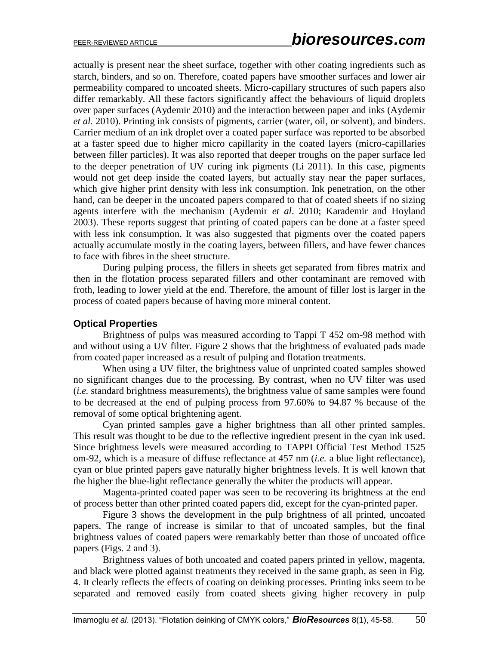actually is present near the sheet surface, together with other coating ingredients such as starch, binders, and so on. Therefore, coated papers have smoother surfaces and lower air permeability compared to uncoated sheets. Micro-capillary structures of such papers also differ remarkably. All these factors significantly affect the behaviours of liquid droplets over paper surfaces (Aydemir 2010) and the interaction between paper and inks (Aydemir *et al*. 2010). Printing ink consists of pigments, carrier (water, oil, or solvent), and binders. Carrier medium of an ink droplet over a coated paper surface was reported to be absorbed at a faster speed due to higher micro capillarity in the coated layers (micro-capillaries between filler particles). It was also reported that deeper troughs on the paper surface led to the deeper penetration of UV curing ink pigments (Li 2011). In this case, pigments would not get deep inside the coated layers, but actually stay near the paper surfaces, which give higher print density with less ink consumption. Ink penetration, on the other hand, can be deeper in the uncoated papers compared to that of coated sheets if no sizing agents interfere with the mechanism (Aydemir *et al*. 2010; Karademir and Hoyland 2003). These reports suggest that printing of coated papers can be done at a faster speed with less ink consumption. It was also suggested that pigments over the coated papers actually accumulate mostly in the coating layers, between fillers, and have fewer chances to face with fibres in the sheet structure.

During pulping process, the fillers in sheets get separated from fibres matrix and then in the flotation process separated fillers and other contaminant are removed with froth, leading to lower yield at the end. Therefore, the amount of filler lost is larger in the process of coated papers because of having more mineral content.

#### **Optical Properties**

Brightness of pulps was measured according to Tappi T 452 om-98 method with and without using a UV filter. Figure 2 shows that the brightness of evaluated pads made from coated paper increased as a result of pulping and flotation treatments.

When using a UV filter, the brightness value of unprinted coated samples showed no significant changes due to the processing. By contrast, when no UV filter was used (*i.e.* standard brightness measurements), the brightness value of same samples were found to be decreased at the end of pulping process from 97.60% to 94.87 % because of the removal of some optical brightening agent.

Cyan printed samples gave a higher brightness than all other printed samples. This result was thought to be due to the reflective ingredient present in the cyan ink used. Since brightness levels were measured according to TAPPI Official Test Method T525 om-92, which is a measure of diffuse reflectance at 457 nm (*i.e.* a blue light reflectance), cyan or blue printed papers gave naturally higher brightness levels. It is well known that the higher the blue-light reflectance generally the whiter the products will appear.

Magenta-printed coated paper was seen to be recovering its brightness at the end of process better than other printed coated papers did, except for the cyan-printed paper.

Figure 3 shows the development in the pulp brightness of all printed, uncoated papers. The range of increase is similar to that of uncoated samples, but the final brightness values of coated papers were remarkably better than those of uncoated office papers (Figs. 2 and 3).

Brightness values of both uncoated and coated papers printed in yellow, magenta, and black were plotted against treatments they received in the same graph, as seen in Fig. 4. It clearly reflects the effects of coating on deinking processes. Printing inks seem to be separated and removed easily from coated sheets giving higher recovery in pulp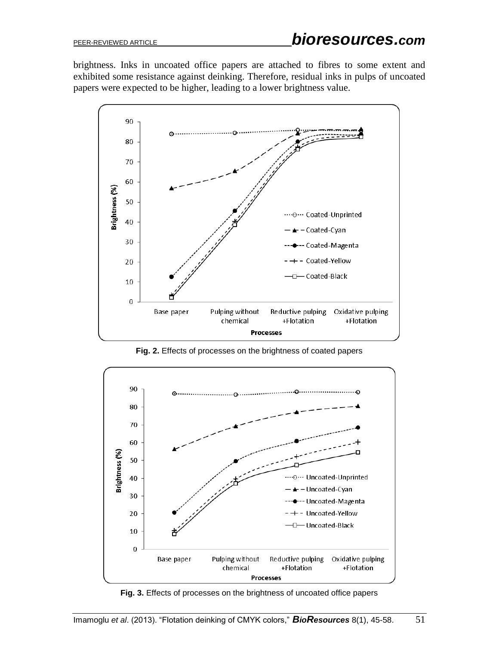brightness. Inks in uncoated office papers are attached to fibres to some extent and exhibited some resistance against deinking. Therefore, residual inks in pulps of uncoated papers were expected to be higher, leading to a lower brightness value.



**Fig. 2.** Effects of processes on the brightness of coated papers



**Fig. 3.** Effects of processes on the brightness of uncoated office papers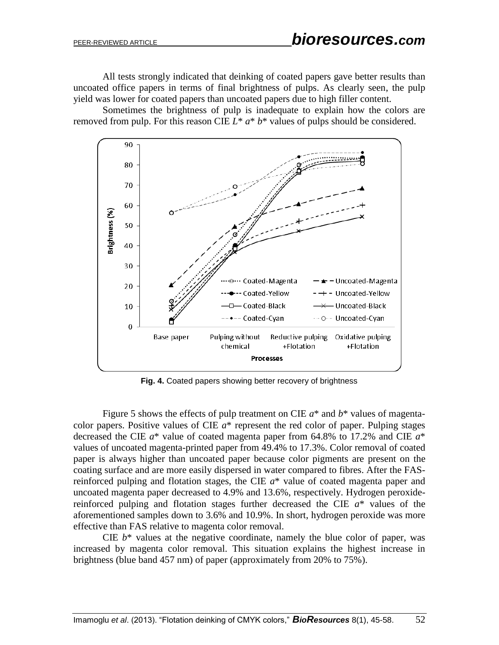All tests strongly indicated that deinking of coated papers gave better results than uncoated office papers in terms of final brightness of pulps. As clearly seen, the pulp yield was lower for coated papers than uncoated papers due to high filler content.

Sometimes the brightness of pulp is inadequate to explain how the colors are removed from pulp. For this reason CIE *L*\* *a*\* *b*\* values of pulps should be considered.



**Fig. 4.** Coated papers showing better recovery of brightness

Figure 5 shows the effects of pulp treatment on CIE *a*\* and *b*\* values of magentacolor papers. Positive values of CIE *a*\* represent the red color of paper. Pulping stages decreased the CIE *a*\* value of coated magenta paper from 64.8% to 17.2% and CIE *a*\* values of uncoated magenta-printed paper from 49.4% to 17.3%. Color removal of coated paper is always higher than uncoated paper because color pigments are present on the coating surface and are more easily dispersed in water compared to fibres. After the FASreinforced pulping and flotation stages, the CIE *a*\* value of coated magenta paper and uncoated magenta paper decreased to 4.9% and 13.6%, respectively. Hydrogen peroxidereinforced pulping and flotation stages further decreased the CIE *a*\* values of the aforementioned samples down to 3.6% and 10.9%. In short, hydrogen peroxide was more effective than FAS relative to magenta color removal.

CIE  $b^*$  values at the negative coordinate, namely the blue color of paper, was increased by magenta color removal. This situation explains the highest increase in brightness (blue band 457 nm) of paper (approximately from 20% to 75%).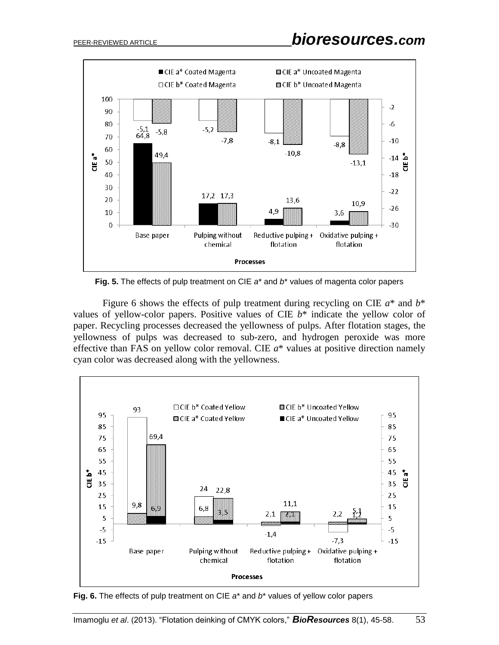

**Fig. 5.** The effects of pulp treatment on CIE *a*\* and *b*\* values of magenta color papers

Figure 6 shows the effects of pulp treatment during recycling on CIE *a*\* and *b*\* values of yellow-color papers. Positive values of CIE *b*\* indicate the yellow color of paper. Recycling processes decreased the yellowness of pulps. After flotation stages, the yellowness of pulps was decreased to sub-zero, and hydrogen peroxide was more effective than FAS on yellow color removal. CIE *a*\* values at positive direction namely cyan color was decreased along with the yellowness.



**Fig. 6.** The effects of pulp treatment on CIE *a*\* and *b*\* values of yellow color papers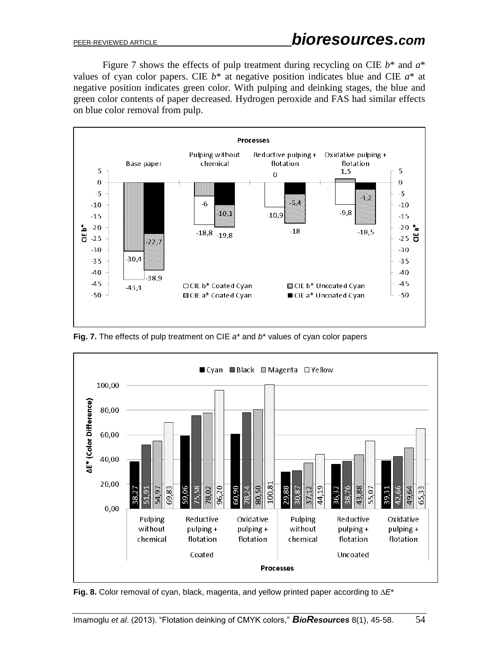Figure 7 shows the effects of pulp treatment during recycling on CIE *b*\* and *a*\* values of cyan color papers. CIE  $b^*$  at negative position indicates blue and CIE  $a^*$  at negative position indicates green color. With pulping and deinking stages, the blue and green color contents of paper decreased. Hydrogen peroxide and FAS had similar effects on blue color removal from pulp.



**Fig. 7.** The effects of pulp treatment on CIE *a*\* and *b*\* values of cyan color papers



**Fig. 8.** Color removal of cyan, black, magenta, and yellow printed paper according to ∆*E*\*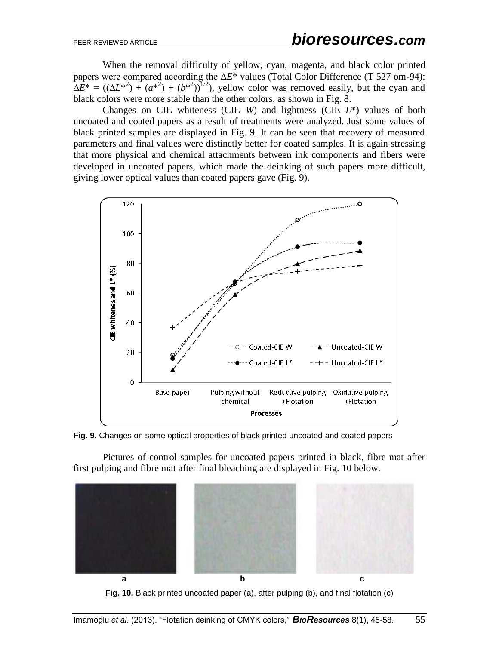When the removal difficulty of yellow, cyan, magenta, and black color printed papers were compared according the Δ*E*<sup>\*</sup> values (Total Color Difference (T 527 om-94):  $\Delta E^* = ((\Delta L^{*2}) + (a^{*2}) + (b^{*2}))^{1/2}$ , yellow color was removed easily, but the cyan and black colors were more stable than the other colors, as shown in Fig. 8.

Changes on CIE whiteness (CIE *W*) and lightness (CIE *L*\*) values of both uncoated and coated papers as a result of treatments were analyzed. Just some values of black printed samples are displayed in Fig. 9. It can be seen that recovery of measured parameters and final values were distinctly better for coated samples. It is again stressing that more physical and chemical attachments between ink components and fibers were developed in uncoated papers, which made the deinking of such papers more difficult, giving lower optical values than coated papers gave (Fig. 9).



**Fig. 9.** Changes on some optical properties of black printed uncoated and coated papers

Pictures of control samples for uncoated papers printed in black, fibre mat after first pulping and fibre mat after final bleaching are displayed in Fig. 10 below.



**Fig. 10.** Black printed uncoated paper (a), after pulping (b), and final flotation (c)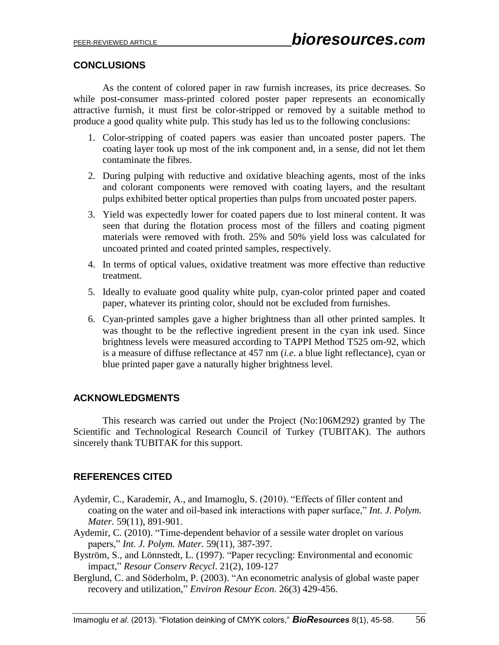## **CONCLUSIONS**

As the content of colored paper in raw furnish increases, its price decreases. So while post-consumer mass-printed colored poster paper represents an economically attractive furnish, it must first be color-stripped or removed by a suitable method to produce a good quality white pulp. This study has led us to the following conclusions:

- 1. Color-stripping of coated papers was easier than uncoated poster papers. The coating layer took up most of the ink component and, in a sense, did not let them contaminate the fibres.
- 2. During pulping with reductive and oxidative bleaching agents, most of the inks and colorant components were removed with coating layers, and the resultant pulps exhibited better optical properties than pulps from uncoated poster papers.
- 3. Yield was expectedly lower for coated papers due to lost mineral content. It was seen that during the flotation process most of the fillers and coating pigment materials were removed with froth. 25% and 50% yield loss was calculated for uncoated printed and coated printed samples, respectively.
- 4. In terms of optical values, oxidative treatment was more effective than reductive treatment.
- 5. Ideally to evaluate good quality white pulp, cyan-color printed paper and coated paper, whatever its printing color, should not be excluded from furnishes.
- 6. Cyan-printed samples gave a higher brightness than all other printed samples. It was thought to be the reflective ingredient present in the cyan ink used. Since brightness levels were measured according to TAPPI Method T525 om-92, which is a measure of diffuse reflectance at 457 nm (*i.e*. a blue light reflectance), cyan or blue printed paper gave a naturally higher brightness level.

## **ACKNOWLEDGMENTS**

This research was carried out under the Project (No:106M292) granted by The Scientific and Technological Research Council of Turkey (TUBITAK). The authors sincerely thank TUBITAK for this support.

## **REFERENCES CITED**

- Aydemir, C., Karademir, A., and Imamoglu, S. (2010). "Effects of filler content and coating on the water and oil-based ink interactions with paper surface," *Int. J. Polym. Mater.* 59(11), 891-901.
- Aydemir, C. (2010). "Time-dependent behavior of a sessile water droplet on various papers," *Int. J. Polym. Mater.* 59(11), 387-397.
- Byström, S., and Lönnstedt, L. (1997). "Paper recycling: Environmental and economic impact," *Resour Conserv Recycl*. 21(2), 109-127
- Berglund, C. and Söderholm, P. (2003). "An econometric analysis of global waste paper recovery and utilization," *Environ Resour Econ*. 26(3) 429-456.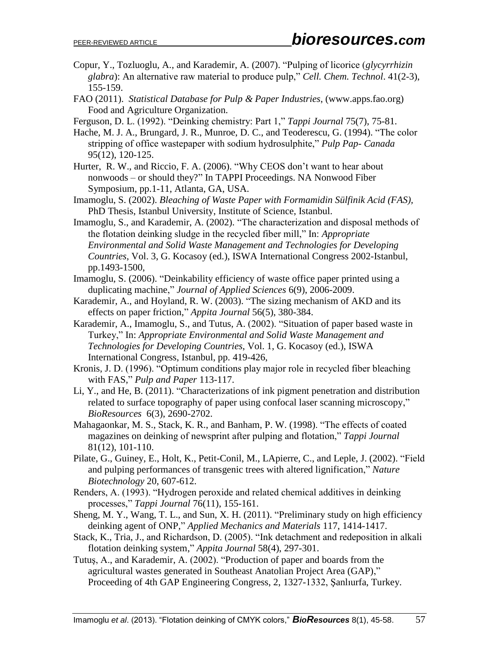- Copur, Y., Tozluoglu, A., and Karademir, A. (2007). "Pulping of licorice (*glycyrrhizin glabra*): An alternative raw material to produce pulp," *Cell. Chem. Technol*. 41(2-3), 155-159.
- FAO (2011). *Statistical Database for Pulp & Paper Industries*, (www.apps.fao.org) Food and Agriculture Organization.
- Ferguson, D. L. (1992). "Deinking chemistry: Part 1," *Tappi Journal* 75(7)*,* 75-81.
- Hache, M. J. A., Brungard, J. R., Munroe, D. C., and Teoderescu, G. (1994). "The color stripping of office wastepaper with sodium hydrosulphite," *Pulp Pap- Canada* 95(12), 120-125.
- Hurter, R. W., and Riccio, F. A. (2006). "Why CEOS don't want to hear about nonwoods – or should they?" In TAPPI Proceedings. NA Nonwood Fiber Symposium, pp.1-11, Atlanta, GA, USA.
- Imamoglu, S. (2002). *Bleaching of Waste Paper with Formamidin Sülfinik Acid (FAS),* PhD Thesis, Istanbul University, Institute of Science, Istanbul.
- Imamoglu, S., and Karademir, A. (2002). "The characterization and disposal methods of the flotation deinking sludge in the recycled fiber mill," In: *Appropriate Environmental and Solid Waste Management and Technologies for Developing Countries*, Vol. 3, G. Kocasoy (ed.), ISWA International Congress 2002-Istanbul, pp.1493-1500,
- Imamoglu, S. (2006). "Deinkability efficiency of waste office paper printed using a duplicating machine," *Journal of Applied Sciences* 6(9), 2006-2009.
- Karademir, A., and Hoyland, R. W. (2003). "The sizing mechanism of AKD and its effects on paper friction," *Appita Journal* 56(5), 380-384.
- Karademir, A., Imamoglu, S., and Tutus, A. (2002). "Situation of paper based waste in Turkey," In: *Appropriate Environmental and Solid Waste Management and Technologies for Developing Countries*, Vol. 1, G. Kocasoy (ed.), ISWA International Congress, Istanbul, pp. 419-426,
- Kronis, J. D. (1996). "Optimum conditions play major role in recycled fiber bleaching with FAS," *Pulp and Paper* 113-117.
- Li, Y., and He, B. (2011). "Characterizations of ink pigment penetration and distribution related to surface topography of paper using confocal laser scanning microscopy," *BioResources* 6(3), 2690-2702.
- Mahagaonkar, M. S., Stack, K. R., and Banham, P. W. (1998). "The effects of coated magazines on deinking of newsprint after pulping and flotation," *Tappi Journal*  81(12), 101-110.
- Pilate, G., Guiney, E., Holt, K., Petit-Conil, M., LApierre, C., and Leple, J. (2002). "Field and pulping performances of transgenic trees with altered lignification," *Nature Biotechnology* 20, 607-612.
- Renders, A. (1993). "Hydrogen peroxide and related chemical additives in deinking processes," *Tappi Journal* 76(11), 155-161.
- Sheng, M. [Y.](http://www.scientific.net/author/Yong_Sheng_Ma_1), [Wang,](http://www.scientific.net/author/Lin_Tong_Wang_2) T. L., and Sun, [X.](http://www.scientific.net/author/Xian_Hui_Sun) H. (2011). "Preliminary study on high efficiency deinking agent of ONP," *[Applied Mechanics and Materials](http://www.scientific.net/AMM)* 117, 1414-1417.
- Stack, K., Tria, J., and Richardson, D. (2005). "Ink detachment and redeposition in alkali flotation deinking system," *Appita Journal* 58(4), 297-301.
- Tutuş, A., and Karademir, A. (2002). "Production of paper and boards from the agricultural wastes generated in Southeast Anatolian Project Area (GAP)," Proceeding of 4th GAP Engineering Congress, 2, 1327-1332, Şanlıurfa, Turkey.